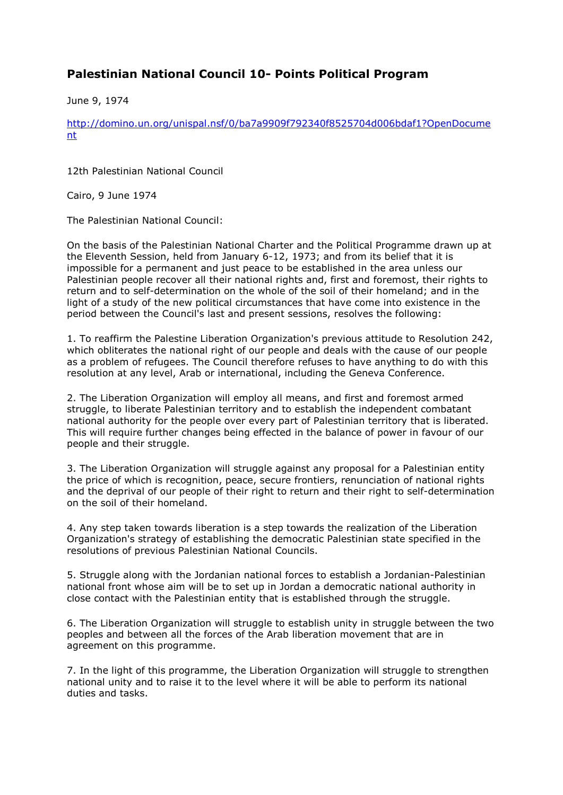## **Palestinian National Council 10- Points Political Program**

June 9, 1974

http://domino.un.org/unispal.nsf/0/ba7a9909f792340f8525704d006bdaf1?OpenDocume nt

12th Palestinian National Council

Cairo, 9 June 1974

The Palestinian National Council:

On the basis of the Palestinian National Charter and the Political Programme drawn up at the Eleventh Session, held from January 6-12, 1973; and from its belief that it is impossible for a permanent and just peace to be established in the area unless our Palestinian people recover all their national rights and, first and foremost, their rights to return and to self-determination on the whole of the soil of their homeland; and in the light of a study of the new political circumstances that have come into existence in the period between the Council's last and present sessions, resolves the following:

1. To reaffirm the Palestine Liberation Organization's previous attitude to Resolution 242, which obliterates the national right of our people and deals with the cause of our people as a problem of refugees. The Council therefore refuses to have anything to do with this resolution at any level, Arab or international, including the Geneva Conference.

2. The Liberation Organization will employ all means, and first and foremost armed struggle, to liberate Palestinian territory and to establish the independent combatant national authority for the people over every part of Palestinian territory that is liberated. This will require further changes being effected in the balance of power in favour of our people and their struggle.

3. The Liberation Organization will struggle against any proposal for a Palestinian entity the price of which is recognition, peace, secure frontiers, renunciation of national rights and the deprival of our people of their right to return and their right to self-determination on the soil of their homeland.

4. Any step taken towards liberation is a step towards the realization of the Liberation Organization's strategy of establishing the democratic Palestinian state specified in the resolutions of previous Palestinian National Councils.

5. Struggle along with the Jordanian national forces to establish a Jordanian-Palestinian national front whose aim will be to set up in Jordan a democratic national authority in close contact with the Palestinian entity that is established through the struggle.

6. The Liberation Organization will struggle to establish unity in struggle between the two peoples and between all the forces of the Arab liberation movement that are in agreement on this programme.

7. In the light of this programme, the Liberation Organization will struggle to strengthen national unity and to raise it to the level where it will be able to perform its national duties and tasks.